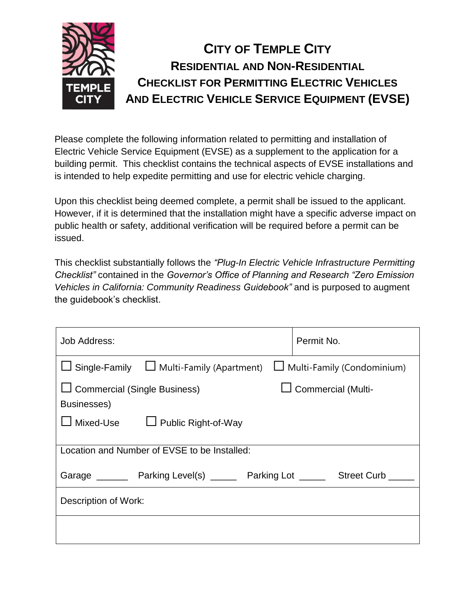

Please complete the following information related to permitting and installation of Electric Vehicle Service Equipment (EVSE) as a supplement to the application for a building permit. This checklist contains the technical aspects of EVSE installations and is intended to help expedite permitting and use for electric vehicle charging.

Upon this checklist being deemed complete, a permit shall be issued to the applicant. However, if it is determined that the installation might have a specific adverse impact on public health or safety, additional verification will be required before a permit can be issued.

This checklist substantially follows the *"Plug-In Electric Vehicle Infrastructure Permitting Checklist"* contained in the *Governor's Office of Planning and Research "Zero Emission Vehicles in California: Community Readiness Guidebook"* and is purposed to augment the guidebook's checklist.

| Job Address:                                                   | Permit No.                        |  |  |
|----------------------------------------------------------------|-----------------------------------|--|--|
| $\Box$ Single-Family $\Box$ Multi-Family (Apartment)           | $\Box$ Multi-Family (Condominium) |  |  |
| □ Commercial (Single Business)<br>Commercial (Multi-           |                                   |  |  |
| Businesses)                                                    |                                   |  |  |
| $\Box$ Mixed-Use<br>$\Box$ Public Right-of-Way                 |                                   |  |  |
| Location and Number of EVSE to be Installed:                   |                                   |  |  |
| Garage __________ Parking Level(s) ________ Parking Lot ______ | <b>Street Curb</b>                |  |  |
| Description of Work:                                           |                                   |  |  |
|                                                                |                                   |  |  |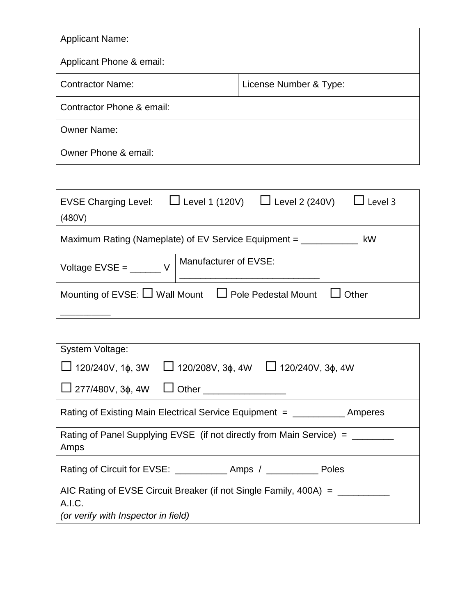| <b>Applicant Name:</b>                            |  |  |  |
|---------------------------------------------------|--|--|--|
| Applicant Phone & email:                          |  |  |  |
| <b>Contractor Name:</b><br>License Number & Type: |  |  |  |
| Contractor Phone & email:                         |  |  |  |
| <b>Owner Name:</b>                                |  |  |  |
| Owner Phone & email:                              |  |  |  |

| EVSE Charging Level: $\Box$ Level 1 (120V) $\Box$ Level 2 (240V) $\Box$ Level 3 |                       |  |  |  |
|---------------------------------------------------------------------------------|-----------------------|--|--|--|
| (480V)                                                                          |                       |  |  |  |
| Maximum Rating (Nameplate) of EV Service Equipment = _______<br>kW              |                       |  |  |  |
| Voltage $EVSE =$ V                                                              | Manufacturer of EVSE: |  |  |  |
| Mounting of EVSE: $\Box$ Wall Mount $\Box$ Pole Pedestal Mount $\Box$ Other     |                       |  |  |  |
|                                                                                 |                       |  |  |  |

| System Voltage:                                                                              |  |  |  |
|----------------------------------------------------------------------------------------------|--|--|--|
| $\Box$ 120/240V, 1 $\phi$ , 3W $\Box$ 120/208V, 3 $\phi$ , 4W $\Box$ 120/240V, 3 $\phi$ , 4W |  |  |  |
| $\Box$ 277/480V, 3 $\phi$ , 4W $\Box$ Other ______________                                   |  |  |  |
| Rating of Existing Main Electrical Service Equipment = ___________ Amperes                   |  |  |  |
| Rating of Panel Supplying EVSE (if not directly from Main Service) = ______<br>Amps          |  |  |  |
|                                                                                              |  |  |  |
| AIC Rating of EVSE Circuit Breaker (if not Single Family, 400A) = ______                     |  |  |  |
| A.I.C.                                                                                       |  |  |  |
| (or verify with Inspector in field)                                                          |  |  |  |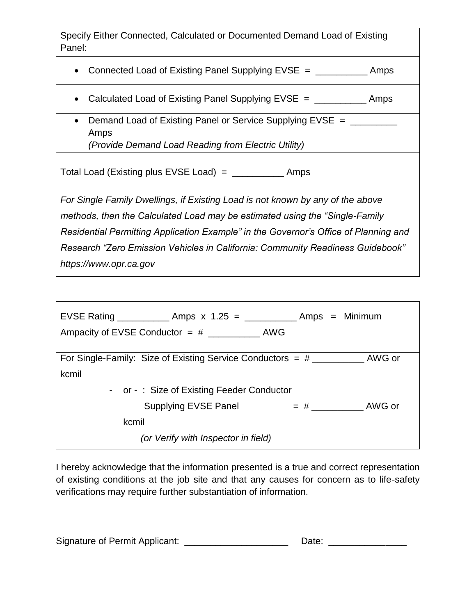Specify Either Connected, Calculated or Documented Demand Load of Existing Panel:

• Connected Load of Existing Panel Supplying EVSE = \_\_\_\_\_\_\_\_\_\_\_\_\_ Amps

- Calculated Load of Existing Panel Supplying EVSE = \_\_\_\_\_\_\_\_\_\_\_\_\_ Amps
- Demand Load of Existing Panel or Service Supplying EVSE = \_\_\_\_\_\_\_ Amps *(Provide Demand Load Reading from Electric Utility)*

Total Load (Existing plus EVSE Load) =  $\frac{1}{2}$  Amps

*For Single Family Dwellings, if Existing Load is not known by any of the above methods, then the Calculated Load may be estimated using the "Single-Family Residential Permitting Application Example" in the Governor's Office of Planning and Research "Zero Emission Vehicles in California: Community Readiness Guidebook" https://www.opr.ca.gov*

| EVSE Rating _______________ Amps x 1.25 = ______________ Amps = Minimum |                                           |                                   |  |
|-------------------------------------------------------------------------|-------------------------------------------|-----------------------------------|--|
|                                                                         |                                           |                                   |  |
|                                                                         |                                           |                                   |  |
|                                                                         |                                           |                                   |  |
| kcmil                                                                   |                                           |                                   |  |
|                                                                         | - or -: Size of Existing Feeder Conductor |                                   |  |
|                                                                         | Supplying EVSE Panel                      | $=$ # $\_\_\_\_\_\_\_\_\_$ AWG or |  |
| kcmil                                                                   |                                           |                                   |  |
|                                                                         | (or Verify with Inspector in field)       |                                   |  |

I hereby acknowledge that the information presented is a true and correct representation of existing conditions at the job site and that any causes for concern as to life-safety verifications may require further substantiation of information.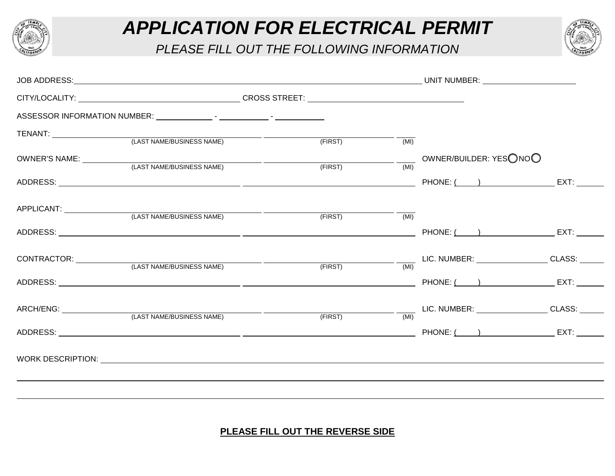

## *APPLICATION FOR ELECTRICAL PERMIT*

*PLEASE FILL OUT THE FOLLOWING INFORMATION*



|                                                                                                                                                                                                                                |                                                                                                                                                                                                                                |         |      | UNIT NUMBER: ________________________                                                              |  |
|--------------------------------------------------------------------------------------------------------------------------------------------------------------------------------------------------------------------------------|--------------------------------------------------------------------------------------------------------------------------------------------------------------------------------------------------------------------------------|---------|------|----------------------------------------------------------------------------------------------------|--|
|                                                                                                                                                                                                                                | CITY/LOCALITY: CROSS STREET: CROSS STREET: CROSS STREET: CROSS STREET: CROSS STREET: CROSS STREET: CROSS STREET: CROSS STREET: CROSS STREET: CROSS STREET: CROSS STREET: CROSS STREET: CROSS STREET: CROSS STREET: CROSS STREE |         |      |                                                                                                    |  |
|                                                                                                                                                                                                                                |                                                                                                                                                                                                                                |         |      |                                                                                                    |  |
|                                                                                                                                                                                                                                |                                                                                                                                                                                                                                |         |      |                                                                                                    |  |
|                                                                                                                                                                                                                                | (LAST NAME/BUSINESS NAME)                                                                                                                                                                                                      | (FIRST) | (MI) |                                                                                                    |  |
| OWNER'S NAME: University of the Second Second Second Second Second Second Second Second Second Second Second Second Second Second Second Second Second Second Second Second Second Second Second Second Second Second Second S | (LAST NAME/BUSINESS NAME)                                                                                                                                                                                                      | (FIRST) | (MI) | $\_\_$ OWNER/BUILDER: YESONOO                                                                      |  |
|                                                                                                                                                                                                                                |                                                                                                                                                                                                                                |         |      |                                                                                                    |  |
| APPLICANT: _______________                                                                                                                                                                                                     |                                                                                                                                                                                                                                |         |      |                                                                                                    |  |
|                                                                                                                                                                                                                                | (LAST NAME/BUSINESS NAME)                                                                                                                                                                                                      | (FIRST) | (MI) |                                                                                                    |  |
|                                                                                                                                                                                                                                |                                                                                                                                                                                                                                |         |      |                                                                                                    |  |
|                                                                                                                                                                                                                                |                                                                                                                                                                                                                                |         |      |                                                                                                    |  |
|                                                                                                                                                                                                                                |                                                                                                                                                                                                                                | (FIRST) | (MI) |                                                                                                    |  |
|                                                                                                                                                                                                                                |                                                                                                                                                                                                                                |         |      |                                                                                                    |  |
|                                                                                                                                                                                                                                |                                                                                                                                                                                                                                |         |      | $\underbrace{\hspace{2.5cm}}_{\text{(MI)}}$ LIC. NUMBER: __________________________CLASS: ________ |  |
|                                                                                                                                                                                                                                |                                                                                                                                                                                                                                | (FIRST) |      |                                                                                                    |  |
|                                                                                                                                                                                                                                |                                                                                                                                                                                                                                |         |      |                                                                                                    |  |
|                                                                                                                                                                                                                                |                                                                                                                                                                                                                                |         |      |                                                                                                    |  |
|                                                                                                                                                                                                                                |                                                                                                                                                                                                                                |         |      |                                                                                                    |  |

## **PLEASE FILL OUT THE REVERSE SIDE**